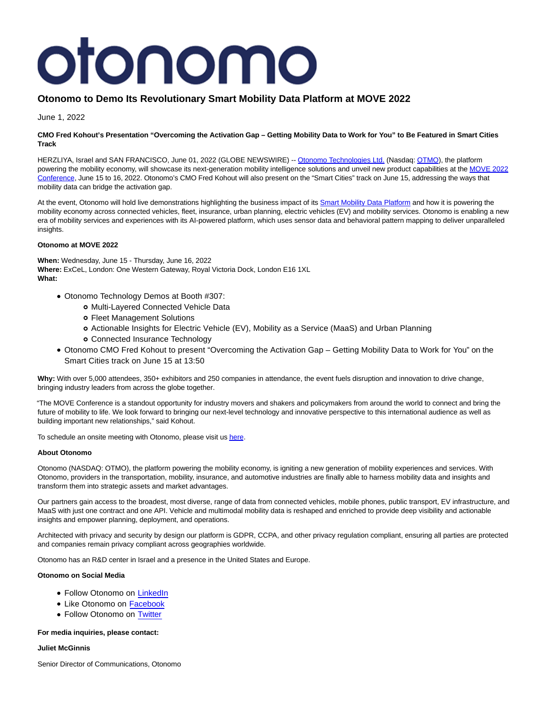# otonomo

# **Otonomo to Demo Its Revolutionary Smart Mobility Data Platform at MOVE 2022**

June 1, 2022

# **CMO Fred Kohout's Presentation "Overcoming the Activation Gap – Getting Mobility Data to Work for You" to Be Featured in Smart Cities Track**

HERZLIYA, Israel and SAN FRANCISCO, June 01, 2022 (GLOBE NEWSWIRE) -- [Otonomo Technologies Ltd. \(](https://www.globenewswire.com/Tracker?data=q1GcQ4IihCGR5A58tX9q6CCbL_YIUA-Ao_454w0ETKS5Tykco5ju7xK1rQ2vYRiyow0PBgE23ZTnySD1X0vJ52d9o6CZE7D-jf8w6HJ7HLM=)Nasdaq[: OTMO\),](https://www.globenewswire.com/Tracker?data=-E_31BbKdOrFE1g1MZw1RM7MeyQRrwAc78kCtzJNWAmhUxzgYe8mY-RNzEonj61WwfK256BMCRp7D08tBjJv4g==) the platform powering the mobility economy, will showcase its next-generation mobility intelligence solutions and unveil new product capabilities at the [MOVE 2022](https://www.globenewswire.com/Tracker?data=kk6XccfFNo34QsVmJgnDmT1zrbcjjWDGb94Z3q_bG6HO7CmBLkFxVIuukXOoT3hGtj1e5pf4NlqxTnlYRZV99g5BkEn971_V-raONJ8q757knJsGKdAW4WWW0qsv7mrG) Conference, June 15 to 16, 2022. Otonomo's CMO Fred Kohout will also present on the "Smart Cities" track on June 15, addressing the ways that mobility data can bridge the activation gap.

At the event, Otonomo will hold live demonstrations highlighting the business impact of its [Smart Mobility Data Platform a](https://www.globenewswire.com/Tracker?data=vdoTOWkuDnmB4c3qbtaTG0GJS4UZfFoCMPjVPTx6-Ur7xvzc_XfAVsb8PNk6m8KKtfveeS7WByLtGbcDcaTxwfq4aCRU4z2JRoz7KrhwF0g=)nd how it is powering the mobility economy across connected vehicles, fleet, insurance, urban planning, electric vehicles (EV) and mobility services. Otonomo is enabling a new era of mobility services and experiences with its AI-powered platform, which uses sensor data and behavioral pattern mapping to deliver unparalleled insights.

# **Otonomo at MOVE 2022**

**When:** Wednesday, June 15 - Thursday, June 16, 2022 **Where:** ExCeL, London: One Western Gateway, Royal Victoria Dock, London E16 1XL **What:**

- Otonomo Technology Demos at Booth #307:
	- Multi-Layered Connected Vehicle Data
	- Fleet Management Solutions
	- Actionable Insights for Electric Vehicle (EV), Mobility as a Service (MaaS) and Urban Planning
	- Connected Insurance Technology
- Otonomo CMO Fred Kohout to present "Overcoming the Activation Gap Getting Mobility Data to Work for You" on the Smart Cities track on June 15 at 13:50

**Why:** With over 5,000 attendees, 350+ exhibitors and 250 companies in attendance, the event fuels disruption and innovation to drive change, bringing industry leaders from across the globe together.

"The MOVE Conference is a standout opportunity for industry movers and shakers and policymakers from around the world to connect and bring the future of mobility to life. We look forward to bringing our next-level technology and innovative perspective to this international audience as well as building important new relationships," said Kohout.

To schedule an onsite meeting with Otonomo, please visit u[s here.](https://www.globenewswire.com/Tracker?data=LV4ZwuG1WtUO9TjIcODbX4z8BQT_mDyA6OVhpAZRJE7j7El_HJJysrAfkYuDX7y-zfiwCFR7diew0AfzDL45dKQMquxqJKHrKNGScAGDCG4=)

# **About Otonomo**

Otonomo (NASDAQ: OTMO), the platform powering the mobility economy, is igniting a new generation of mobility experiences and services. With Otonomo, providers in the transportation, mobility, insurance, and automotive industries are finally able to harness mobility data and insights and transform them into strategic assets and market advantages.

Our partners gain access to the broadest, most diverse, range of data from connected vehicles, mobile phones, public transport, EV infrastructure, and MaaS with just one contract and one API. Vehicle and multimodal mobility data is reshaped and enriched to provide deep visibility and actionable insights and empower planning, deployment, and operations.

Architected with privacy and security by design our platform is GDPR, CCPA, and other privacy regulation compliant, ensuring all parties are protected and companies remain privacy compliant across geographies worldwide.

Otonomo has an R&D center in Israel and a presence in the United States and Europe.

# **Otonomo on Social Media**

- Follow Otonomo on [LinkedIn](https://www.linkedin.com/company/otonomo)
- Like Otonomo on [Facebook](https://www.facebook.com/otonomo.io)
- Follow Otonomo on [Twitter](https://twitter.com/otonomo_)

# **For media inquiries, please contact:**

#### **Juliet McGinnis**

Senior Director of Communications, Otonomo